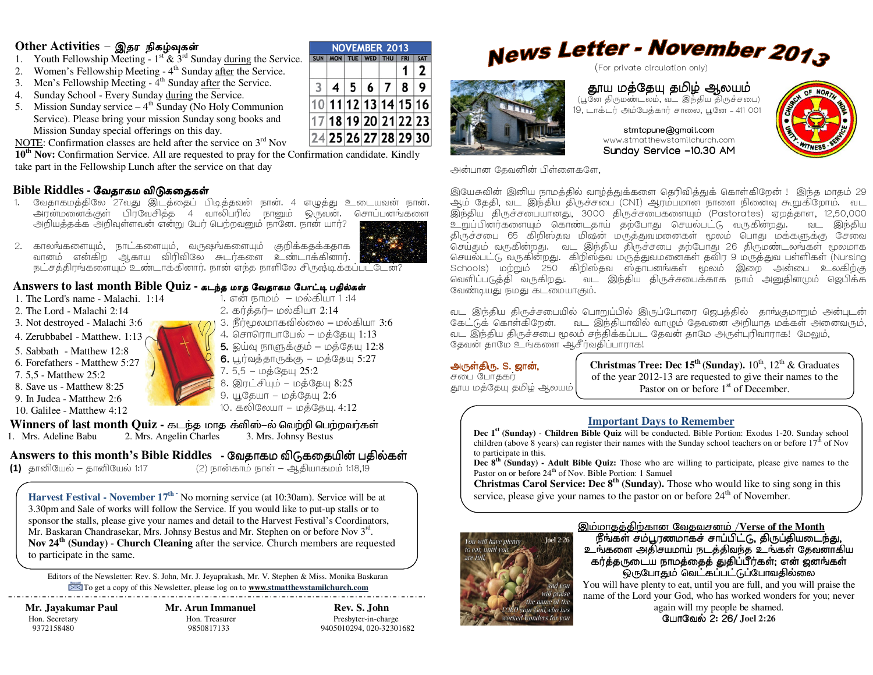#### <u> Other Activities – இதர நிகழ்வுகள்</u>

- 1. Youth Fellowship Meeting  $1^{st}$  &  $3^{rd}$  Sunday during the Service.
- 2.Women's Fellowship Meeting - 4<sup>th</sup> Sunday after the Service.
- 3. Men's Fellowship Meeting 4<sup>th</sup> Sunday after the Service.
- 4. Sunday School Every Sunday during the Service.
- 5. Mission Sunday service  $-4<sup>th</sup>$  Sunday (No Holy Communion Service). Please bring your mission Sunday song books and Mission Sunday special offerings on this day.

NOTE: Confirmation classes are held after the service on  $3<sup>rd</sup>$  Nov

 **10th Nov:** Confirmation Service. All are requested to pray for the Confirmation candidate. Kindly take part in the Fellowship Lunch after the service on that day

# **Bible Riddles -** ேவதாகம விᾌகைதக῀

- . வேதாகமத்திலே 27வது இடத்தைப் பிடித்தவன் நான். 4 எழுத்து உடையவன் நான். 1.<u>அரன்மனைக்குள் பிரவேசித்த 4 வாலிபரில் நானும் ஒருவன். சொப்பனங்களை </u> அறியத்தக்க அறிவுள்ளவன் என்று பேர் பெற்றவனும் நானே. நான் யார்?
- 2. காலங்களையும், நாட்களையும், வருஷங்களையும் குறிக்கத்கத்தாக வானம் என்கிற ஆகாய விரிவிலே சுடர்களை உண்டாக்கினார். நட்சத்திரங்களையும் உண்டாக்கினார். நான் எந்த நாளிலே சிருஷ்டிக்கப்பட்டேன்?

## Answers to last month Bible Quiz - கடந்த மாத வேதாகம போட்டி பதில்கள்<br>பிரிந்த நடித்து பார்ப்பட்டிர் பார்ப்பட்டிருக்காகவும் பதிவின் பிரிந்த பிரிந்த பார்ப்பட்டிருக்கியார்க்கி

- 1. The Lord's name Malachi. 1:14
- 2. The Lord Malachi 2:14
- 3. Not destroyed Malachi 3:6
- 4. Zerubbabel Matthew. 1:13
- 5. Sabbath Matthew 12:8
- 6. Forefathers Matthew 5:27
- 7. 5,5 Matthew 25:2
- 8. Save us Matthew 8:25
- 9. In Judea Matthew 2:6
- 10. Galilee Matthew 4:12
- 

1. என் நாமம் — மல்கியா 1 :14 2. கர்த்தர்– மல்கியா 2:14 3. நீர்மூலமாகவில்லை – மல்கியா  $3.6\,$ 4. சொரொபாபேல் – மத்தேயு 1:13  ${\sf 5.\hspace{1mm}}$ இய்வு நாளுக்கும் – மத்தேயு  $12.8$ **6.** பூர்வத்தாருக்கு – மத்தேயு 5:27<br>7. 5.5 – மத்தோய 2**5:**2  $7.5,5-\mu$ 5 $\mathcal{S}$ 5:2 8. இரட்சியும் – மத்தேயு  $8:25$  $9. \mu\$ தேயா – மத்தேயு  $2:6$ 10. கலிலேயா – மத்தேயு. 4:12

# **Winners of last month Quiz -** கடந்த மாத க்விஸ்–ல் வெற்றி பெற்றவர்கள்<br>| Mrs. Adeline Babu | 2. Mrs. Angelin Charles | 2. Mrs. Johnsy Bestus

1. Mrs. Adeline Babu 2.

Mrs. Angelin Charles3. Mrs. Johnsy Bestus

**Answers to this month's Bible Riddles -**  Nc#d' 683 **(1)** தானியேல் <mark>–</mark> தானியேல் 1:17 (2) நான்காம் நாள் – ஆதியாகமம் 1:18,19

Harvest Festival - November 17<sup>th -</sup> No morning service (at 10:30am). Service will be at 3.30pm and Sale of works will follow the Service. If you would like to put-up stalls or to sponsor the stalls, please give your names and detail to the Harvest Festival's Coordinators, Mr. Baskaran Chandrasekar, Mrs. Johnsy Bestus and Mr. Stephen on or before Nov 3<sup>rd</sup>. **Nov 24th (Sunday)** - **Church Cleaning** after the service. Church members are requested to participate in the same.

Editors of the Newsletter: Rev. S. John, Mr. J. Jeyaprakash, Mr. V. Stephen & Miss. Monika Baskaran To get a copy of this Newsletter, please log on to **www.stmatthewstamilchurch.com** 

 **Mr. Jayakumar Paul Mr. Arun Immanuel Rev. S. John** Hon. Secretary **Hon. Treasurer** Presbyter-in-charge

9372158480 9850817133 9405010294, 020-32301682

# News Letter - November 2013

தூய மத்தேயு தமிழ் ஆலயம் (பூனே திருமண்டலம், வட இந்திய திருச்சபை) 19, டாக்டர் அம்பேத்கார் சாலை, பூனே - 411 001<br>-

> stmtcpune@gmail.com www.stmatthewstamilchurch.comSunday Service –10.30 AM

அன்பான தேவனின் பிள்ளைகளே,

இயேசுவின் இனிய நாமத்தில் வாழ்த்துக்களை தெரிவித்துக் கொள்கிறேன் ! இந்த மாதம் 29 ஆம் தேதி, வட இந்திய திருச்சபை (CNI) ஆரம்பமான நாளை நினைவு கூறுகிறோம். வட இந்திய திருச்சபையானது, 3000 திருச்சபைகளையும் (Pastorates) ஏறத்தாள, 12,50,000<br>உறுப்பினர்களையும் கொண்டதாய் தற்போது செயல்பட்டு வருகின்றது. வட இந்திய ,C\$%0D#@H: =P"Z E6 =>-86Jc <L'F . " !Q- திருச்சபை 65 கிறிஸ்தவ மிஷன் மருத்துவமனைகள் மூலம் பொது மக்களுக்கு சேவை .<br>செய்தும் வருகின்றது. வட இந்திய திருச்சபை தற்போது 26 திருமண்டலங்கள் மூலமாக .<br>செயல்பட்டு வருகின்றது. கிறிஸ்தவ மருத்துவமனைகள் தவிர 9 மருத்துவ பள்ளிகள் (Nursing Schools) மற்றும் 250 கிறிஸ்தவ ஸ்தாபனங்கள் மூலம் இறை அன்பை உலகிற்கு வெளிப்படுத்தி வருகிறது. வட இந்திய திருச்சபைக்காக நாம் அனுதினமும் ஜெபிக்க வேண்டியது நமது கடமையாகும்.

வட இந்திய திருச்சபையில் பொறுப்பில் இருப்போரை ஜெபத்தில் தாங்குமாறும் அன்புடன் கேட்டுக் கொள்கிறேன். வட இந்தியாவில் வாழும் தேவனை அறியாத மக்கள் அனைவரும். வட இந்திய திருச்சபை மூலம் சந்திக்கப்பட தேவன் தாமே அருள்புரிவாராக! மேலும், தேவன் தாமே உங்களை ஆசீர்வதிப்பாராக!

#### அருள்திரு. S. ஜான்,

சபை போதகர் தூய மத்தேயு தமிழ் ஆலயம் **Christmas Tree: Dec 15<sup>th</sup> (Sunday).**  $10^{th}$ ,  $12^{th}$  & Graduates of the year 2012-13 are requested to give their names to the Pastor on or before 1<sup>st</sup> of December.

#### **Important Days to Remember**

 **Dec 1st (Sunday)** - **Children Bible Quiz** will be conducted. Bible Portion: Exodus 1-20. Sunday school children (above 8 years) can register their names with the Sunday school teachers on or before  $17<sup>th</sup>$  of Nov to participate in this.

 **Dec 8th (Sunday) - Adult Bible Quiz:** Those who are willing to participate, please give names to the Pastor on or before  $24<sup>th</sup>$  of Nov. Bible Portion: 1 Samuel

 **Christmas Carol Service: Dec 8th (Sunday).** Those who would like to sing song in this service, please give your names to the pastor on or before  $24<sup>th</sup>$  of November.



## <u>இம்மாதத்திற்கான வேதவசனம் /Verse of the Month</u><br>பிரிக்கு எல் பண்ணாக நாய்பிட்டு நிரப்பியடை

நீங்கள் சம்பூரணமாகச் சாப்பிட்டு, திருப்தியடைந்து,<br>\*:= ??? - ஃபீரணமாக் # - \* ரிவர்க் & \*:= \* & # or wra உங்களை அதிசயமாய் நடத்திவந்த உங்கள் தேவனாகிய<br>- z + + = z .x. .x = = e = e = + \_ p .x .x = + \_ = + \_ = + \_ = + + + + கர்த்தருடைய நாமத்தைத் துதிப்பீர்கள்; என் ஜனங்கள்<br>இந்த இத்திய காழ் வெட்கப்பட்ட மேலுவை ஒருபோதும் வெட்கப்பட்டுப்போவதில்லை<br>www.planty.to.est.until.you.org.full\_and.you.will

 You will have plenty to eat, until you are full, and you will praise the name of the Lord your God, who has worked wonders for you; never

again will my people be shamed. யோவேல் 2: 26/ Joel 2<mark>:</mark>26







**NOVEMBER 2013** SUN | MON | TUE | WED | THU | FRI | SAT

10 11 12 13 14 15 16 17 18 19 20 21 22 23 24 25 26 27 28 29 30

 $3|4|5|6|7$ 

 $1<sup>1</sup>$  $\overline{2}$ 

 $8|9$